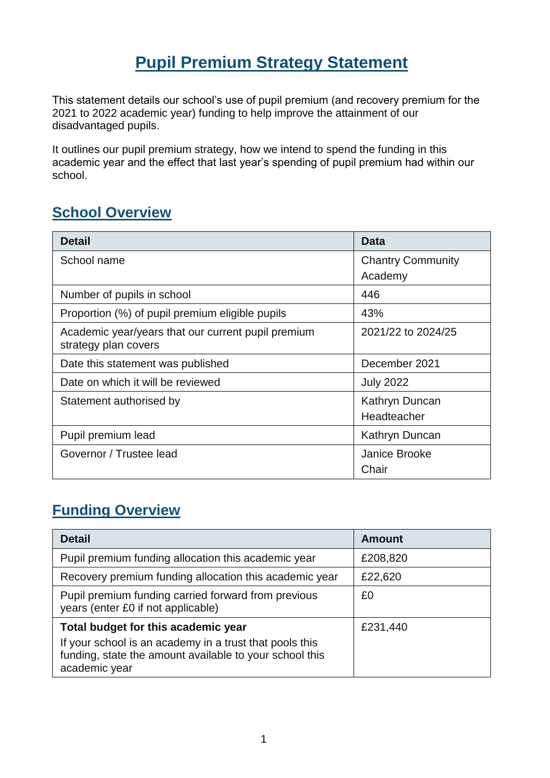# **Pupil Premium Strategy Statement**

This statement details our school's use of pupil premium (and recovery premium for the 2021 to 2022 academic year) funding to help improve the attainment of our disadvantaged pupils.

It outlines our pupil premium strategy, how we intend to spend the funding in this academic year and the effect that last year's spending of pupil premium had within our school.

#### **School Overview**

| <b>Detail</b>                                                              | <b>Data</b>              |  |
|----------------------------------------------------------------------------|--------------------------|--|
| School name                                                                | <b>Chantry Community</b> |  |
|                                                                            | Academy                  |  |
| Number of pupils in school                                                 | 446                      |  |
| Proportion (%) of pupil premium eligible pupils                            | 43%                      |  |
| Academic year/years that our current pupil premium<br>strategy plan covers | 2021/22 to 2024/25       |  |
| Date this statement was published                                          | December 2021            |  |
| Date on which it will be reviewed                                          | <b>July 2022</b>         |  |
| Statement authorised by                                                    | Kathryn Duncan           |  |
|                                                                            | Headteacher              |  |
| Pupil premium lead                                                         | Kathryn Duncan           |  |
| Governor / Trustee lead                                                    | Janice Brooke            |  |
|                                                                            | Chair                    |  |

#### **Funding Overview**

| <b>Detail</b>                                                                                                                       | <b>Amount</b> |
|-------------------------------------------------------------------------------------------------------------------------------------|---------------|
| Pupil premium funding allocation this academic year                                                                                 | £208,820      |
| Recovery premium funding allocation this academic year                                                                              | £22,620       |
| Pupil premium funding carried forward from previous<br>years (enter £0 if not applicable)                                           | £0            |
| Total budget for this academic year                                                                                                 | £231,440      |
| If your school is an academy in a trust that pools this<br>funding, state the amount available to your school this<br>academic year |               |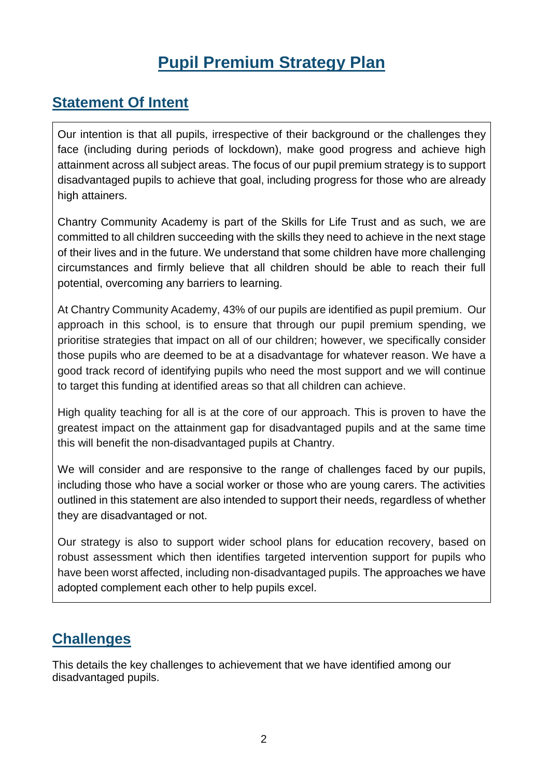# **Pupil Premium Strategy Plan**

#### **Statement Of Intent**

Our intention is that all pupils, irrespective of their background or the challenges they face (including during periods of lockdown), make good progress and achieve high attainment across all subject areas. The focus of our pupil premium strategy is to support disadvantaged pupils to achieve that goal, including progress for those who are already high attainers.

Chantry Community Academy is part of the Skills for Life Trust and as such, we are committed to all children succeeding with the skills they need to achieve in the next stage of their lives and in the future. We understand that some children have more challenging circumstances and firmly believe that all children should be able to reach their full potential, overcoming any barriers to learning.

At Chantry Community Academy, 43% of our pupils are identified as pupil premium. Our approach in this school, is to ensure that through our pupil premium spending, we prioritise strategies that impact on all of our children; however, we specifically consider those pupils who are deemed to be at a disadvantage for whatever reason. We have a good track record of identifying pupils who need the most support and we will continue to target this funding at identified areas so that all children can achieve.

High quality teaching for all is at the core of our approach. This is proven to have the greatest impact on the attainment gap for disadvantaged pupils and at the same time this will benefit the non-disadvantaged pupils at Chantry.

We will consider and are responsive to the range of challenges faced by our pupils, including those who have a social worker or those who are young carers. The activities outlined in this statement are also intended to support their needs, regardless of whether they are disadvantaged or not.

Our strategy is also to support wider school plans for education recovery, based on robust assessment which then identifies targeted intervention support for pupils who have been worst affected, including non-disadvantaged pupils. The approaches we have adopted complement each other to help pupils excel.

#### **Challenges**

This details the key challenges to achievement that we have identified among our disadvantaged pupils.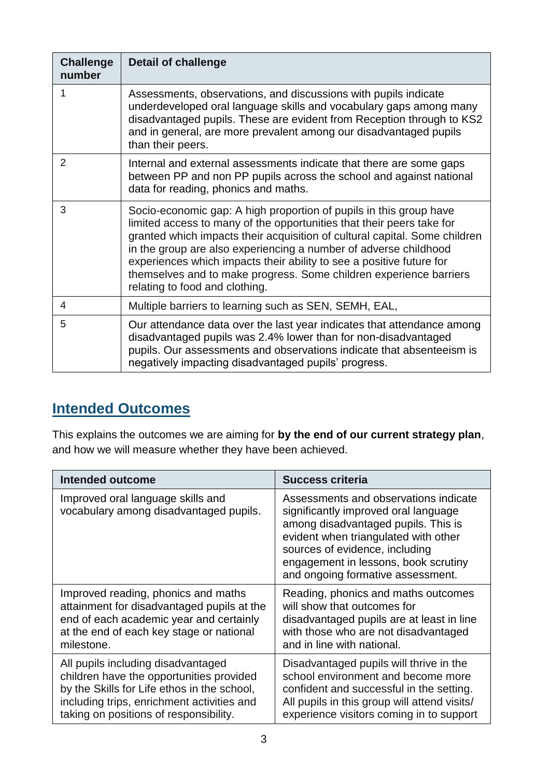| <b>Challenge</b><br>number | <b>Detail of challenge</b>                                                                                                                                                                                                                                                                                                                                                                                                                                                    |
|----------------------------|-------------------------------------------------------------------------------------------------------------------------------------------------------------------------------------------------------------------------------------------------------------------------------------------------------------------------------------------------------------------------------------------------------------------------------------------------------------------------------|
| 1                          | Assessments, observations, and discussions with pupils indicate<br>underdeveloped oral language skills and vocabulary gaps among many<br>disadvantaged pupils. These are evident from Reception through to KS2<br>and in general, are more prevalent among our disadvantaged pupils<br>than their peers.                                                                                                                                                                      |
| $\overline{2}$             | Internal and external assessments indicate that there are some gaps<br>between PP and non PP pupils across the school and against national<br>data for reading, phonics and maths.                                                                                                                                                                                                                                                                                            |
| 3                          | Socio-economic gap: A high proportion of pupils in this group have<br>limited access to many of the opportunities that their peers take for<br>granted which impacts their acquisition of cultural capital. Some children<br>in the group are also experiencing a number of adverse childhood<br>experiences which impacts their ability to see a positive future for<br>themselves and to make progress. Some children experience barriers<br>relating to food and clothing. |
| 4                          | Multiple barriers to learning such as SEN, SEMH, EAL,                                                                                                                                                                                                                                                                                                                                                                                                                         |
| 5                          | Our attendance data over the last year indicates that attendance among<br>disadvantaged pupils was 2.4% lower than for non-disadvantaged<br>pupils. Our assessments and observations indicate that absenteeism is<br>negatively impacting disadvantaged pupils' progress.                                                                                                                                                                                                     |

#### **Intended Outcomes**

This explains the outcomes we are aiming for **by the end of our current strategy plan**, and how we will measure whether they have been achieved.

| <b>Intended outcome</b>                                                     | <b>Success criteria</b>                                                                                                                                                                                                                                                     |  |
|-----------------------------------------------------------------------------|-----------------------------------------------------------------------------------------------------------------------------------------------------------------------------------------------------------------------------------------------------------------------------|--|
| Improved oral language skills and<br>vocabulary among disadvantaged pupils. | Assessments and observations indicate<br>significantly improved oral language<br>among disadvantaged pupils. This is<br>evident when triangulated with other<br>sources of evidence, including<br>engagement in lessons, book scrutiny<br>and ongoing formative assessment. |  |
| Improved reading, phonics and maths                                         | Reading, phonics and maths outcomes                                                                                                                                                                                                                                         |  |
| attainment for disadvantaged pupils at the                                  | will show that outcomes for                                                                                                                                                                                                                                                 |  |
| end of each academic year and certainly                                     | disadvantaged pupils are at least in line                                                                                                                                                                                                                                   |  |
| at the end of each key stage or national                                    | with those who are not disadvantaged                                                                                                                                                                                                                                        |  |
| milestone.                                                                  | and in line with national.                                                                                                                                                                                                                                                  |  |
| All pupils including disadvantaged                                          | Disadvantaged pupils will thrive in the                                                                                                                                                                                                                                     |  |
| children have the opportunities provided                                    | school environment and become more                                                                                                                                                                                                                                          |  |
| by the Skills for Life ethos in the school,                                 | confident and successful in the setting.                                                                                                                                                                                                                                    |  |
| including trips, enrichment activities and                                  | All pupils in this group will attend visits/                                                                                                                                                                                                                                |  |
| taking on positions of responsibility.                                      | experience visitors coming in to support                                                                                                                                                                                                                                    |  |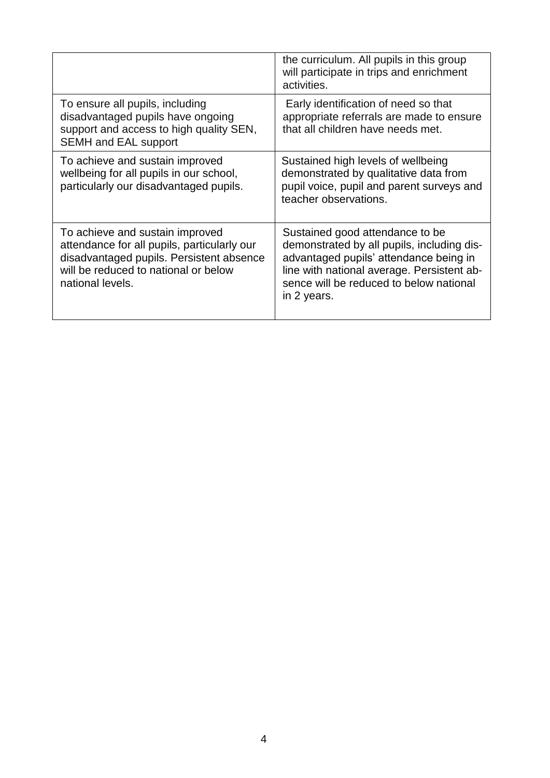|                                                                                                                                                                                        | the curriculum. All pupils in this group<br>will participate in trips and enrichment<br>activities.                                                                                                                             |
|----------------------------------------------------------------------------------------------------------------------------------------------------------------------------------------|---------------------------------------------------------------------------------------------------------------------------------------------------------------------------------------------------------------------------------|
| To ensure all pupils, including<br>disadvantaged pupils have ongoing<br>support and access to high quality SEN,<br><b>SEMH and EAL support</b>                                         | Early identification of need so that<br>appropriate referrals are made to ensure<br>that all children have needs met.                                                                                                           |
| To achieve and sustain improved<br>wellbeing for all pupils in our school,<br>particularly our disadvantaged pupils.                                                                   | Sustained high levels of wellbeing<br>demonstrated by qualitative data from<br>pupil voice, pupil and parent surveys and<br>teacher observations.                                                                               |
| To achieve and sustain improved<br>attendance for all pupils, particularly our<br>disadvantaged pupils. Persistent absence<br>will be reduced to national or below<br>national levels. | Sustained good attendance to be<br>demonstrated by all pupils, including dis-<br>advantaged pupils' attendance being in<br>line with national average. Persistent ab-<br>sence will be reduced to below national<br>in 2 years. |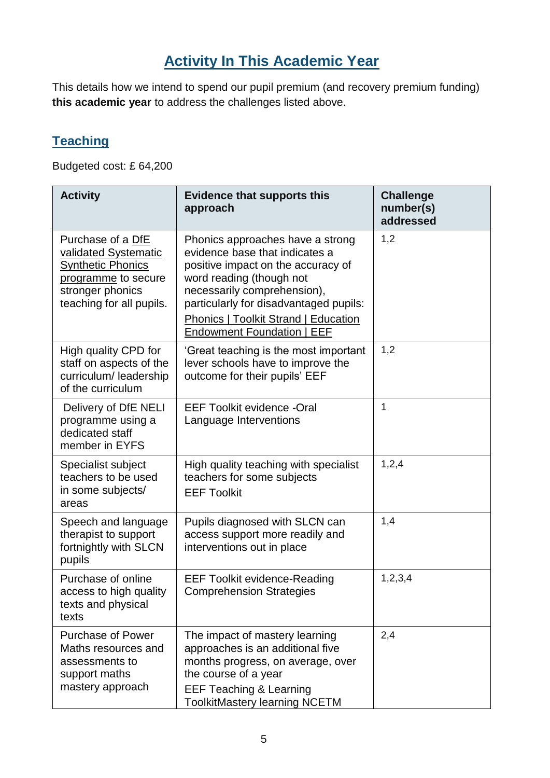## **Activity In This Academic Year**

This details how we intend to spend our pupil premium (and recovery premium funding) **this academic year** to address the challenges listed above.

#### **Teaching**

Budgeted cost: £ 64,200

| <b>Activity</b>                                                                                                                              | <b>Evidence that supports this</b><br>approach                                                                                                                                                                                                                                                    | <b>Challenge</b><br>number(s)<br>addressed |
|----------------------------------------------------------------------------------------------------------------------------------------------|---------------------------------------------------------------------------------------------------------------------------------------------------------------------------------------------------------------------------------------------------------------------------------------------------|--------------------------------------------|
| Purchase of a DfE<br>validated Systematic<br><b>Synthetic Phonics</b><br>programme to secure<br>stronger phonics<br>teaching for all pupils. | Phonics approaches have a strong<br>evidence base that indicates a<br>positive impact on the accuracy of<br>word reading (though not<br>necessarily comprehension),<br>particularly for disadvantaged pupils:<br><b>Phonics   Toolkit Strand   Education</b><br><b>Endowment Foundation   EEF</b> | 1,2                                        |
| High quality CPD for<br>staff on aspects of the<br>curriculum/leadership<br>of the curriculum                                                | 'Great teaching is the most important<br>lever schools have to improve the<br>outcome for their pupils' EEF                                                                                                                                                                                       | 1,2                                        |
| Delivery of DfE NELI<br>programme using a<br>dedicated staff<br>member in EYFS                                                               | <b>EEF Toolkit evidence -Oral</b><br>Language Interventions                                                                                                                                                                                                                                       | 1                                          |
| Specialist subject<br>teachers to be used<br>in some subjects/<br>areas                                                                      | High quality teaching with specialist<br>teachers for some subjects<br><b>EEF Toolkit</b>                                                                                                                                                                                                         | 1,2,4                                      |
| Speech and language<br>therapist to support<br>fortnightly with SLCN<br>pupils                                                               | Pupils diagnosed with SLCN can<br>access support more readily and<br>interventions out in place                                                                                                                                                                                                   | 1,4                                        |
| Purchase of online<br>access to high quality<br>texts and physical<br>texts                                                                  | <b>EEF Toolkit evidence-Reading</b><br><b>Comprehension Strategies</b>                                                                                                                                                                                                                            | 1,2,3,4                                    |
| <b>Purchase of Power</b><br>Maths resources and<br>assessments to<br>support maths<br>mastery approach                                       | The impact of mastery learning<br>approaches is an additional five<br>months progress, on average, over<br>the course of a year<br><b>EEF Teaching &amp; Learning</b><br><b>ToolkitMastery learning NCETM</b>                                                                                     | 2,4                                        |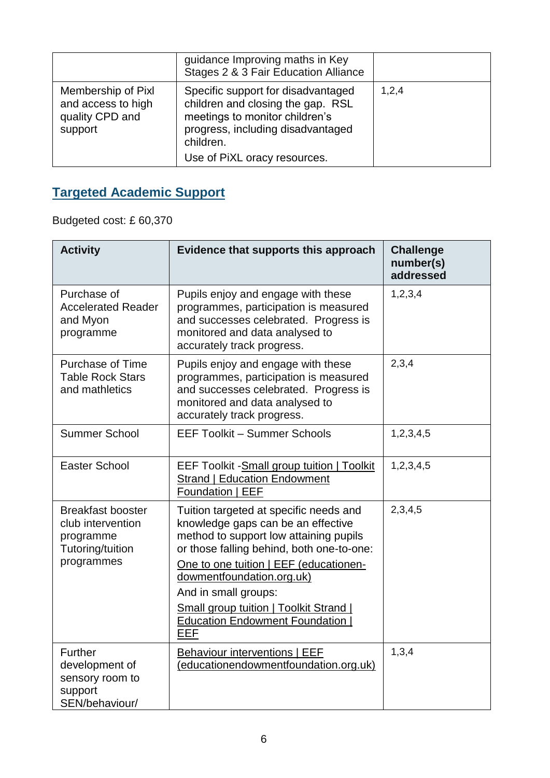|                                                                        | guidance Improving maths in Key<br>Stages 2 & 3 Fair Education Alliance                                                                                                                     |       |
|------------------------------------------------------------------------|---------------------------------------------------------------------------------------------------------------------------------------------------------------------------------------------|-------|
| Membership of Pixl<br>and access to high<br>quality CPD and<br>support | Specific support for disadvantaged<br>children and closing the gap. RSL<br>meetings to monitor children's<br>progress, including disadvantaged<br>children.<br>Use of PiXL oracy resources. | 1,2,4 |

## **Targeted Academic Support**

Budgeted cost: £ 60,370

| <b>Activity</b>                                                                              | Evidence that supports this approach                                                                                                                                                                                                                                                                                                                                       | <b>Challenge</b><br>number(s)<br>addressed |
|----------------------------------------------------------------------------------------------|----------------------------------------------------------------------------------------------------------------------------------------------------------------------------------------------------------------------------------------------------------------------------------------------------------------------------------------------------------------------------|--------------------------------------------|
| Purchase of<br><b>Accelerated Reader</b><br>and Myon<br>programme                            | Pupils enjoy and engage with these<br>programmes, participation is measured<br>and successes celebrated. Progress is<br>monitored and data analysed to<br>accurately track progress.                                                                                                                                                                                       | 1, 2, 3, 4                                 |
| <b>Purchase of Time</b><br><b>Table Rock Stars</b><br>and mathletics                         | 2,3,4<br>Pupils enjoy and engage with these<br>programmes, participation is measured<br>and successes celebrated. Progress is<br>monitored and data analysed to<br>accurately track progress.                                                                                                                                                                              |                                            |
| <b>Summer School</b>                                                                         | <b>EEF Toolkit - Summer Schools</b>                                                                                                                                                                                                                                                                                                                                        | 1,2,3,4,5                                  |
| <b>Easter School</b>                                                                         | <b>EEF Toolkit - Small group tuition   Toolkit</b><br><b>Strand   Education Endowment</b><br>Foundation   EEF                                                                                                                                                                                                                                                              | 1,2,3,4,5                                  |
| <b>Breakfast booster</b><br>club intervention<br>programme<br>Tutoring/tuition<br>programmes | Tuition targeted at specific needs and<br>knowledge gaps can be an effective<br>method to support low attaining pupils<br>or those falling behind, both one-to-one:<br>One to one tuition   EEF (educationen-<br>dowmentfoundation.org.uk)<br>And in small groups:<br><b>Small group tuition   Toolkit Strand  </b><br><b>Education Endowment Foundation</b><br><b>EEF</b> | 2,3,4,5                                    |
| Further<br>development of<br>sensory room to<br>support<br>SEN/behaviour/                    | Behaviour interventions   EEF<br>(educationendowmentfoundation.org.uk)                                                                                                                                                                                                                                                                                                     | 1,3,4                                      |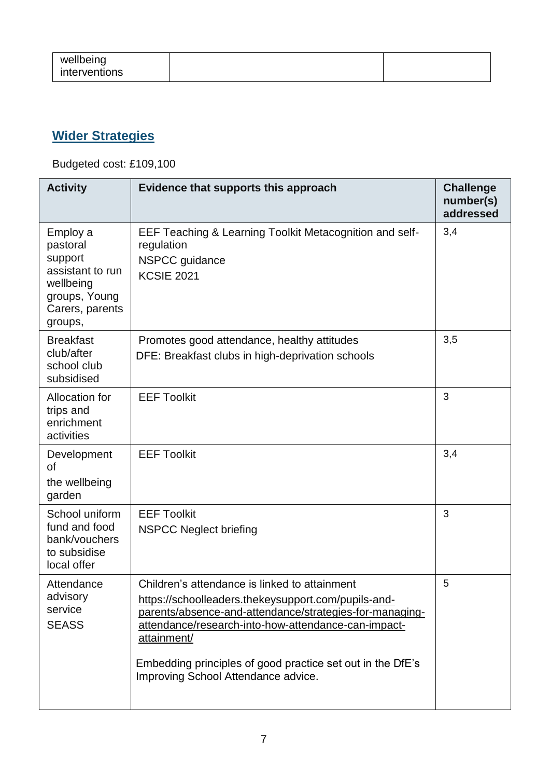| wellbeing<br>interventions |  |  |
|----------------------------|--|--|
|----------------------------|--|--|

## **Wider Strategies**

Budgeted cost: £109,100

| <b>Activity</b>                                                                                                 | Evidence that supports this approach                                                                                                                                                                                                                                                                                                       | <b>Challenge</b><br>number(s)<br>addressed |
|-----------------------------------------------------------------------------------------------------------------|--------------------------------------------------------------------------------------------------------------------------------------------------------------------------------------------------------------------------------------------------------------------------------------------------------------------------------------------|--------------------------------------------|
| Employ a<br>pastoral<br>support<br>assistant to run<br>wellbeing<br>groups, Young<br>Carers, parents<br>groups, | EEF Teaching & Learning Toolkit Metacognition and self-<br>regulation<br>NSPCC guidance<br><b>KCSIE 2021</b>                                                                                                                                                                                                                               | 3,4                                        |
| <b>Breakfast</b><br>club/after<br>school club<br>subsidised                                                     | Promotes good attendance, healthy attitudes<br>DFE: Breakfast clubs in high-deprivation schools                                                                                                                                                                                                                                            | 3,5                                        |
| Allocation for<br>trips and<br>enrichment<br>activities                                                         | <b>EEF Toolkit</b>                                                                                                                                                                                                                                                                                                                         | 3                                          |
| Development<br><b>of</b><br>the wellbeing<br>garden                                                             | <b>EEF Toolkit</b>                                                                                                                                                                                                                                                                                                                         | 3,4                                        |
| School uniform<br>fund and food<br>bank/vouchers<br>to subsidise<br>local offer                                 | <b>EEF Toolkit</b><br><b>NSPCC Neglect briefing</b>                                                                                                                                                                                                                                                                                        | 3                                          |
| Attendance<br>advisory<br>service<br><b>SEASS</b>                                                               | Children's attendance is linked to attainment<br>https://schoolleaders.thekeysupport.com/pupils-and-<br>parents/absence-and-attendance/strategies-for-managing-<br>attendance/research-into-how-attendance-can-impact-<br>attainment/<br>Embedding principles of good practice set out in the DfE's<br>Improving School Attendance advice. | 5                                          |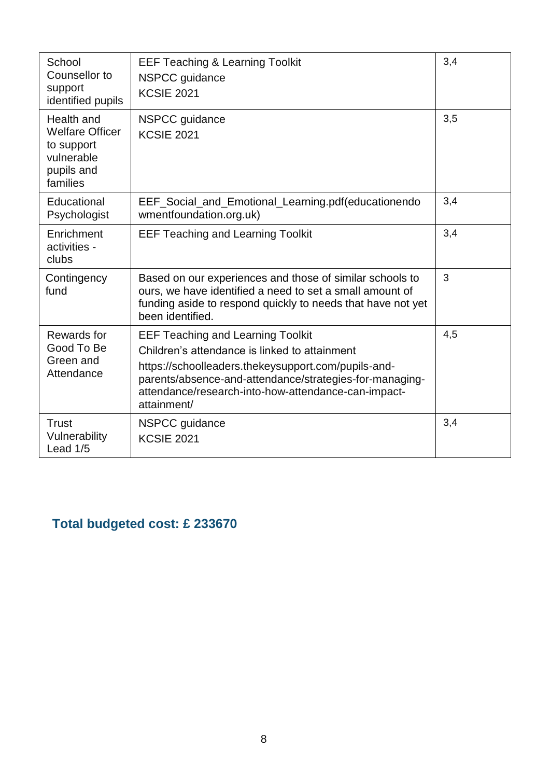| School<br>Counsellor to<br>support<br>identified pupils                                    | <b>EEF Teaching &amp; Learning Toolkit</b><br>NSPCC guidance<br><b>KCSIE 2021</b>                                                                                                                                                                                                 | 3,4 |
|--------------------------------------------------------------------------------------------|-----------------------------------------------------------------------------------------------------------------------------------------------------------------------------------------------------------------------------------------------------------------------------------|-----|
| Health and<br><b>Welfare Officer</b><br>to support<br>vulnerable<br>pupils and<br>families | NSPCC guidance<br><b>KCSIE 2021</b>                                                                                                                                                                                                                                               | 3,5 |
| Educational<br>Psychologist                                                                | EEF_Social_and_Emotional_Learning.pdf(educationendo<br>wmentfoundation.org.uk)                                                                                                                                                                                                    | 3,4 |
| Enrichment<br>activities -<br>clubs                                                        | <b>EEF Teaching and Learning Toolkit</b>                                                                                                                                                                                                                                          | 3,4 |
| Contingency<br>fund                                                                        | Based on our experiences and those of similar schools to<br>ours, we have identified a need to set a small amount of<br>funding aside to respond quickly to needs that have not yet<br>been identified.                                                                           | 3   |
| Rewards for<br>Good To Be<br>Green and<br>Attendance                                       | <b>EEF Teaching and Learning Toolkit</b><br>Children's attendance is linked to attainment<br>https://schoolleaders.thekeysupport.com/pupils-and-<br>parents/absence-and-attendance/strategies-for-managing-<br>attendance/research-into-how-attendance-can-impact-<br>attainment/ | 4,5 |
| Trust<br>Vulnerability<br>Lead 1/5                                                         | NSPCC guidance<br><b>KCSIE 2021</b>                                                                                                                                                                                                                                               | 3,4 |

## **Total budgeted cost: £ 233670**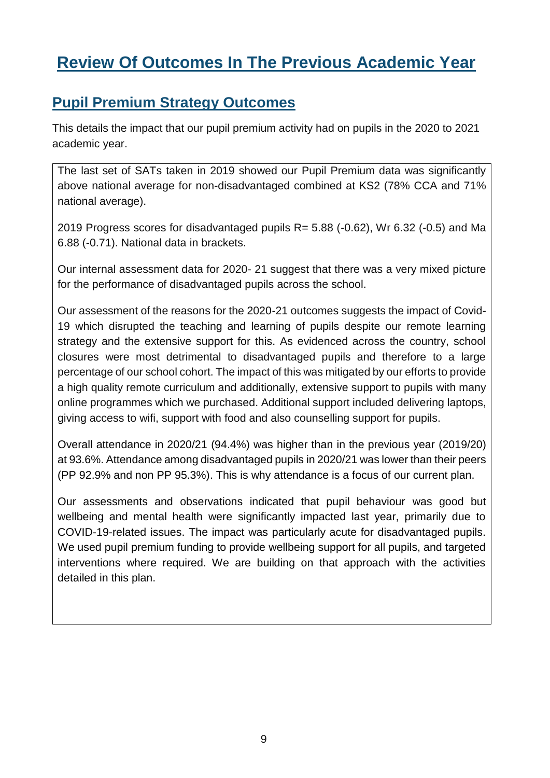# **Review Of Outcomes In The Previous Academic Year**

#### **Pupil Premium Strategy Outcomes**

This details the impact that our pupil premium activity had on pupils in the 2020 to 2021 academic year.

The last set of SATs taken in 2019 showed our Pupil Premium data was significantly above national average for non-disadvantaged combined at KS2 (78% CCA and 71% national average).

2019 Progress scores for disadvantaged pupils R= 5.88 (-0.62), Wr 6.32 (-0.5) and Ma 6.88 (-0.71). National data in brackets.

Our internal assessment data for 2020- 21 suggest that there was a very mixed picture for the performance of disadvantaged pupils across the school.

Our assessment of the reasons for the 2020-21 outcomes suggests the impact of Covid-19 which disrupted the teaching and learning of pupils despite our remote learning strategy and the extensive support for this. As evidenced across the country, school closures were most detrimental to disadvantaged pupils and therefore to a large percentage of our school cohort. The impact of this was mitigated by our efforts to provide a high quality remote curriculum and additionally, extensive support to pupils with many online programmes which we purchased. Additional support included delivering laptops, giving access to wifi, support with food and also counselling support for pupils.

Overall attendance in 2020/21 (94.4%) was higher than in the previous year (2019/20) at 93.6%. Attendance among disadvantaged pupils in 2020/21 was lower than their peers (PP 92.9% and non PP 95.3%). This is why attendance is a focus of our current plan.

Our assessments and observations indicated that pupil behaviour was good but wellbeing and mental health were significantly impacted last year, primarily due to COVID-19-related issues. The impact was particularly acute for disadvantaged pupils. We used pupil premium funding to provide wellbeing support for all pupils, and targeted interventions where required. We are building on that approach with the activities detailed in this plan.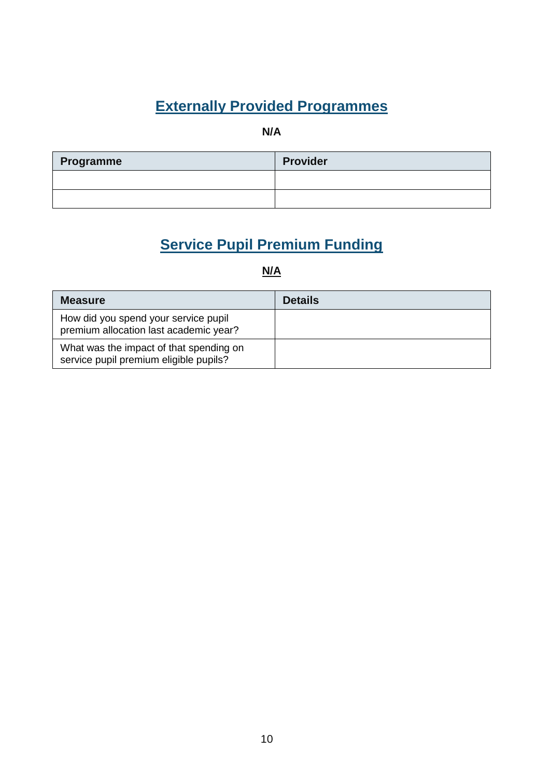## **Externally Provided Programmes**

**N/A**

| Programme | <b>Provider</b> |
|-----------|-----------------|
|           |                 |
|           |                 |

## **Service Pupil Premium Funding**

#### **N/A**

| <b>Measure</b>                                                                    | <b>Details</b> |
|-----------------------------------------------------------------------------------|----------------|
| How did you spend your service pupil<br>premium allocation last academic year?    |                |
| What was the impact of that spending on<br>service pupil premium eligible pupils? |                |